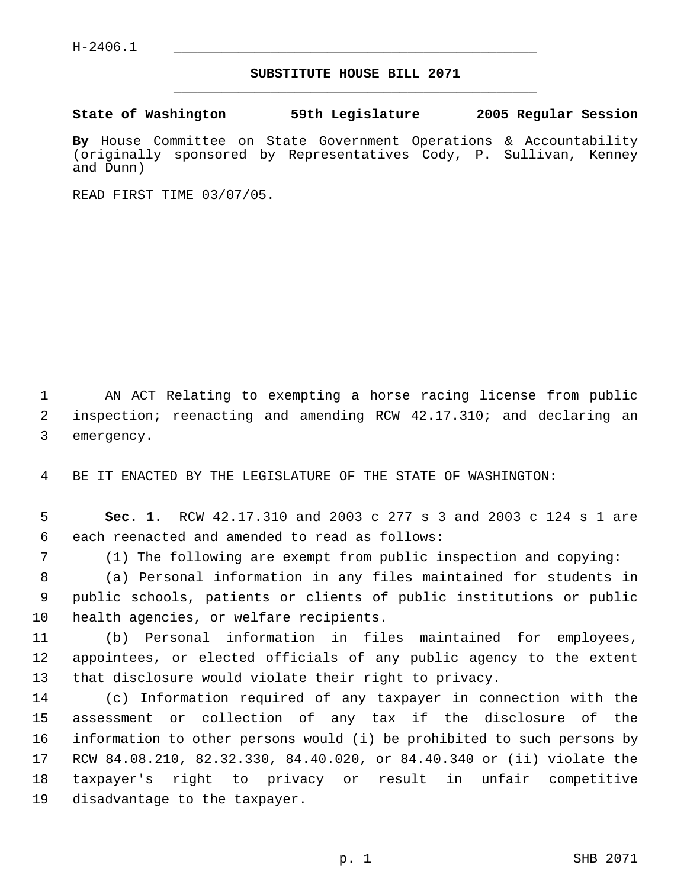H-2406.1 \_\_\_\_\_\_\_\_\_\_\_\_\_\_\_\_\_\_\_\_\_\_\_\_\_\_\_\_\_\_\_\_\_\_\_\_\_\_\_\_\_\_\_\_\_

## **SUBSTITUTE HOUSE BILL 2071** \_\_\_\_\_\_\_\_\_\_\_\_\_\_\_\_\_\_\_\_\_\_\_\_\_\_\_\_\_\_\_\_\_\_\_\_\_\_\_\_\_\_\_\_\_

**State of Washington 59th Legislature 2005 Regular Session**

**By** House Committee on State Government Operations & Accountability (originally sponsored by Representatives Cody, P. Sullivan, Kenney and Dunn)

READ FIRST TIME 03/07/05.

 AN ACT Relating to exempting a horse racing license from public inspection; reenacting and amending RCW 42.17.310; and declaring an emergency.

BE IT ENACTED BY THE LEGISLATURE OF THE STATE OF WASHINGTON:

 **Sec. 1.** RCW 42.17.310 and 2003 c 277 s 3 and 2003 c 124 s 1 are each reenacted and amended to read as follows:

(1) The following are exempt from public inspection and copying:

 (a) Personal information in any files maintained for students in public schools, patients or clients of public institutions or public health agencies, or welfare recipients.

 (b) Personal information in files maintained for employees, appointees, or elected officials of any public agency to the extent that disclosure would violate their right to privacy.

 (c) Information required of any taxpayer in connection with the assessment or collection of any tax if the disclosure of the information to other persons would (i) be prohibited to such persons by RCW 84.08.210, 82.32.330, 84.40.020, or 84.40.340 or (ii) violate the taxpayer's right to privacy or result in unfair competitive disadvantage to the taxpayer.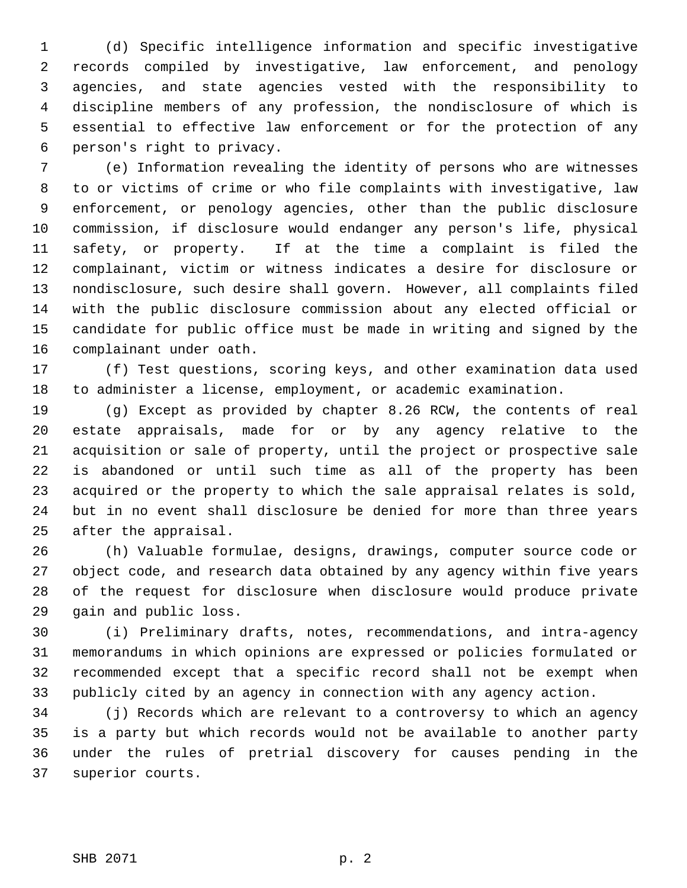(d) Specific intelligence information and specific investigative records compiled by investigative, law enforcement, and penology agencies, and state agencies vested with the responsibility to discipline members of any profession, the nondisclosure of which is essential to effective law enforcement or for the protection of any person's right to privacy.

 (e) Information revealing the identity of persons who are witnesses to or victims of crime or who file complaints with investigative, law enforcement, or penology agencies, other than the public disclosure commission, if disclosure would endanger any person's life, physical safety, or property. If at the time a complaint is filed the complainant, victim or witness indicates a desire for disclosure or nondisclosure, such desire shall govern. However, all complaints filed with the public disclosure commission about any elected official or candidate for public office must be made in writing and signed by the complainant under oath.

 (f) Test questions, scoring keys, and other examination data used to administer a license, employment, or academic examination.

 (g) Except as provided by chapter 8.26 RCW, the contents of real estate appraisals, made for or by any agency relative to the acquisition or sale of property, until the project or prospective sale is abandoned or until such time as all of the property has been acquired or the property to which the sale appraisal relates is sold, but in no event shall disclosure be denied for more than three years after the appraisal.

 (h) Valuable formulae, designs, drawings, computer source code or object code, and research data obtained by any agency within five years of the request for disclosure when disclosure would produce private gain and public loss.

 (i) Preliminary drafts, notes, recommendations, and intra-agency memorandums in which opinions are expressed or policies formulated or recommended except that a specific record shall not be exempt when publicly cited by an agency in connection with any agency action.

 (j) Records which are relevant to a controversy to which an agency is a party but which records would not be available to another party under the rules of pretrial discovery for causes pending in the superior courts.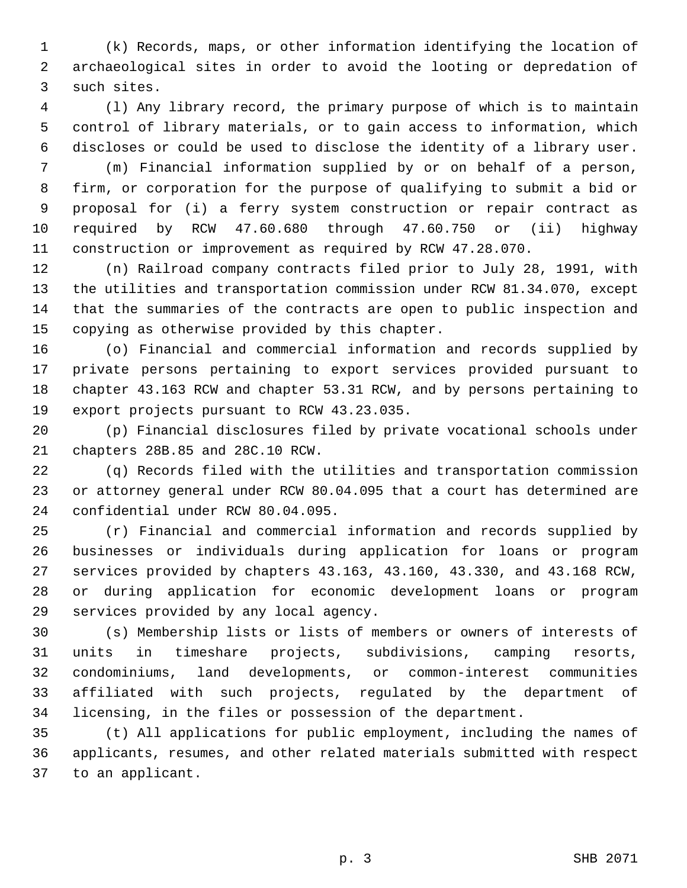(k) Records, maps, or other information identifying the location of archaeological sites in order to avoid the looting or depredation of such sites.

 (l) Any library record, the primary purpose of which is to maintain control of library materials, or to gain access to information, which discloses or could be used to disclose the identity of a library user.

 (m) Financial information supplied by or on behalf of a person, firm, or corporation for the purpose of qualifying to submit a bid or proposal for (i) a ferry system construction or repair contract as required by RCW 47.60.680 through 47.60.750 or (ii) highway construction or improvement as required by RCW 47.28.070.

 (n) Railroad company contracts filed prior to July 28, 1991, with the utilities and transportation commission under RCW 81.34.070, except that the summaries of the contracts are open to public inspection and copying as otherwise provided by this chapter.

 (o) Financial and commercial information and records supplied by private persons pertaining to export services provided pursuant to chapter 43.163 RCW and chapter 53.31 RCW, and by persons pertaining to export projects pursuant to RCW 43.23.035.

 (p) Financial disclosures filed by private vocational schools under chapters 28B.85 and 28C.10 RCW.

 (q) Records filed with the utilities and transportation commission or attorney general under RCW 80.04.095 that a court has determined are confidential under RCW 80.04.095.

 (r) Financial and commercial information and records supplied by businesses or individuals during application for loans or program services provided by chapters 43.163, 43.160, 43.330, and 43.168 RCW, or during application for economic development loans or program services provided by any local agency.

 (s) Membership lists or lists of members or owners of interests of units in timeshare projects, subdivisions, camping resorts, condominiums, land developments, or common-interest communities affiliated with such projects, regulated by the department of licensing, in the files or possession of the department.

 (t) All applications for public employment, including the names of applicants, resumes, and other related materials submitted with respect to an applicant.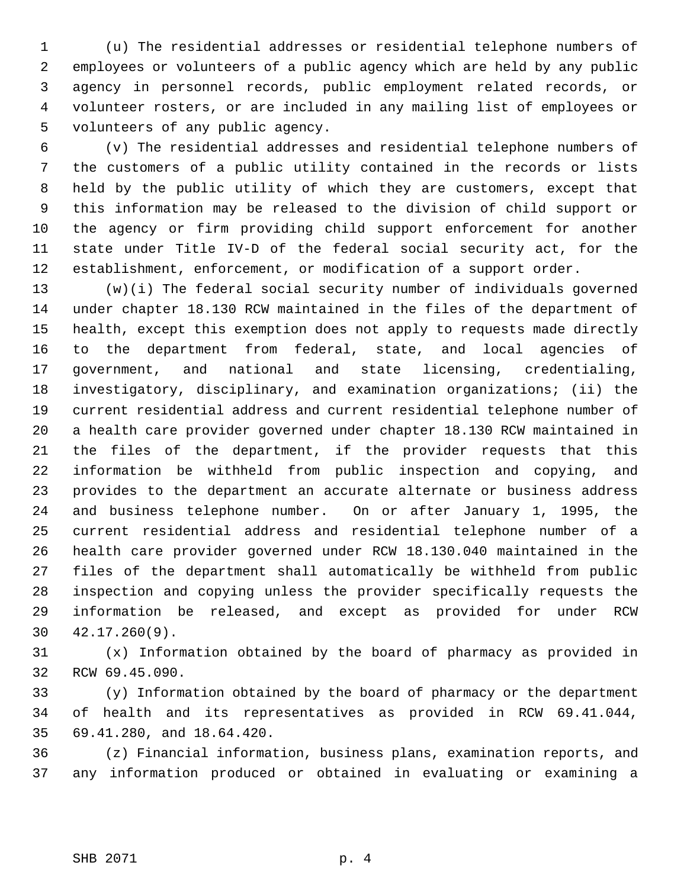(u) The residential addresses or residential telephone numbers of employees or volunteers of a public agency which are held by any public agency in personnel records, public employment related records, or volunteer rosters, or are included in any mailing list of employees or volunteers of any public agency.

 (v) The residential addresses and residential telephone numbers of the customers of a public utility contained in the records or lists held by the public utility of which they are customers, except that this information may be released to the division of child support or the agency or firm providing child support enforcement for another state under Title IV-D of the federal social security act, for the establishment, enforcement, or modification of a support order.

 (w)(i) The federal social security number of individuals governed under chapter 18.130 RCW maintained in the files of the department of health, except this exemption does not apply to requests made directly to the department from federal, state, and local agencies of government, and national and state licensing, credentialing, investigatory, disciplinary, and examination organizations; (ii) the current residential address and current residential telephone number of a health care provider governed under chapter 18.130 RCW maintained in the files of the department, if the provider requests that this information be withheld from public inspection and copying, and provides to the department an accurate alternate or business address and business telephone number. On or after January 1, 1995, the current residential address and residential telephone number of a health care provider governed under RCW 18.130.040 maintained in the files of the department shall automatically be withheld from public inspection and copying unless the provider specifically requests the information be released, and except as provided for under RCW 42.17.260(9).

 (x) Information obtained by the board of pharmacy as provided in RCW 69.45.090.

 (y) Information obtained by the board of pharmacy or the department of health and its representatives as provided in RCW 69.41.044, 69.41.280, and 18.64.420.

 (z) Financial information, business plans, examination reports, and any information produced or obtained in evaluating or examining a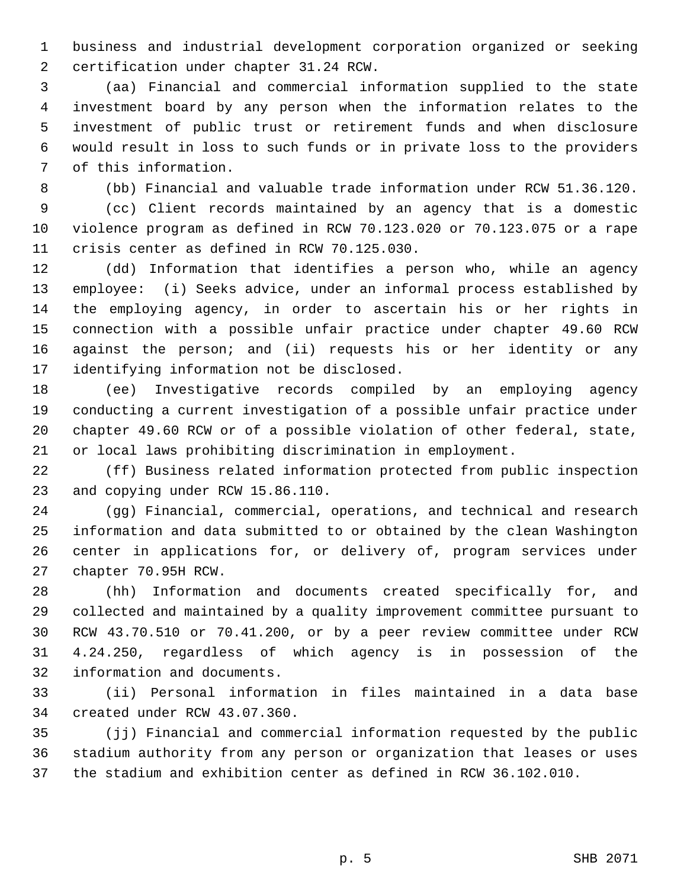business and industrial development corporation organized or seeking certification under chapter 31.24 RCW.

 (aa) Financial and commercial information supplied to the state investment board by any person when the information relates to the investment of public trust or retirement funds and when disclosure would result in loss to such funds or in private loss to the providers of this information.

(bb) Financial and valuable trade information under RCW 51.36.120.

 (cc) Client records maintained by an agency that is a domestic violence program as defined in RCW 70.123.020 or 70.123.075 or a rape crisis center as defined in RCW 70.125.030.

 (dd) Information that identifies a person who, while an agency employee: (i) Seeks advice, under an informal process established by the employing agency, in order to ascertain his or her rights in connection with a possible unfair practice under chapter 49.60 RCW against the person; and (ii) requests his or her identity or any identifying information not be disclosed.

 (ee) Investigative records compiled by an employing agency conducting a current investigation of a possible unfair practice under chapter 49.60 RCW or of a possible violation of other federal, state, or local laws prohibiting discrimination in employment.

 (ff) Business related information protected from public inspection and copying under RCW 15.86.110.

 (gg) Financial, commercial, operations, and technical and research information and data submitted to or obtained by the clean Washington center in applications for, or delivery of, program services under chapter 70.95H RCW.

 (hh) Information and documents created specifically for, and collected and maintained by a quality improvement committee pursuant to RCW 43.70.510 or 70.41.200, or by a peer review committee under RCW 4.24.250, regardless of which agency is in possession of the information and documents.

 (ii) Personal information in files maintained in a data base created under RCW 43.07.360.

 (jj) Financial and commercial information requested by the public stadium authority from any person or organization that leases or uses the stadium and exhibition center as defined in RCW 36.102.010.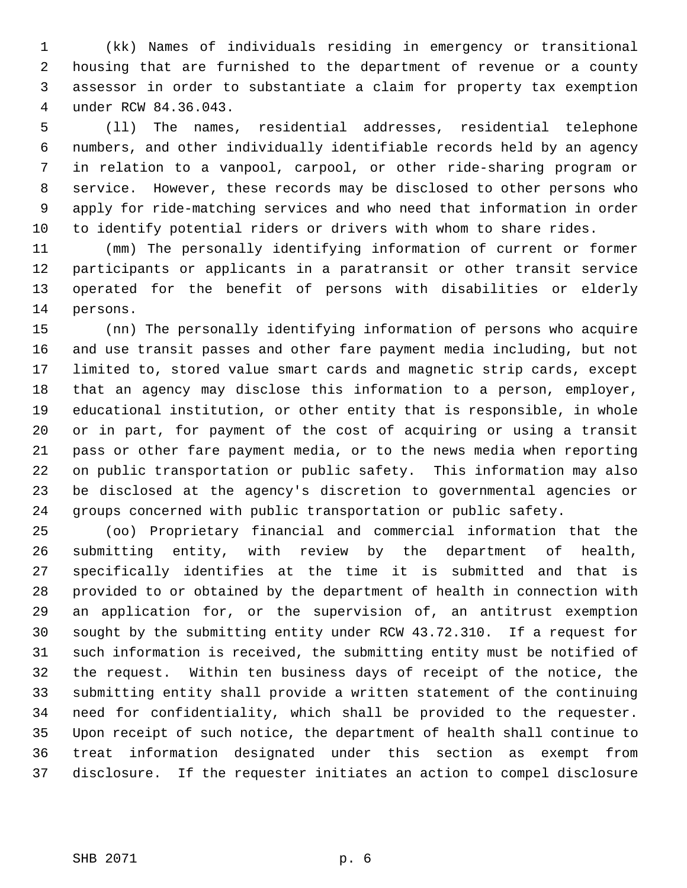(kk) Names of individuals residing in emergency or transitional housing that are furnished to the department of revenue or a county assessor in order to substantiate a claim for property tax exemption under RCW 84.36.043.

 (ll) The names, residential addresses, residential telephone numbers, and other individually identifiable records held by an agency in relation to a vanpool, carpool, or other ride-sharing program or service. However, these records may be disclosed to other persons who apply for ride-matching services and who need that information in order to identify potential riders or drivers with whom to share rides.

 (mm) The personally identifying information of current or former participants or applicants in a paratransit or other transit service operated for the benefit of persons with disabilities or elderly persons.

 (nn) The personally identifying information of persons who acquire and use transit passes and other fare payment media including, but not limited to, stored value smart cards and magnetic strip cards, except that an agency may disclose this information to a person, employer, educational institution, or other entity that is responsible, in whole or in part, for payment of the cost of acquiring or using a transit pass or other fare payment media, or to the news media when reporting on public transportation or public safety. This information may also be disclosed at the agency's discretion to governmental agencies or groups concerned with public transportation or public safety.

 (oo) Proprietary financial and commercial information that the submitting entity, with review by the department of health, specifically identifies at the time it is submitted and that is provided to or obtained by the department of health in connection with an application for, or the supervision of, an antitrust exemption sought by the submitting entity under RCW 43.72.310. If a request for such information is received, the submitting entity must be notified of the request. Within ten business days of receipt of the notice, the submitting entity shall provide a written statement of the continuing need for confidentiality, which shall be provided to the requester. Upon receipt of such notice, the department of health shall continue to treat information designated under this section as exempt from disclosure. If the requester initiates an action to compel disclosure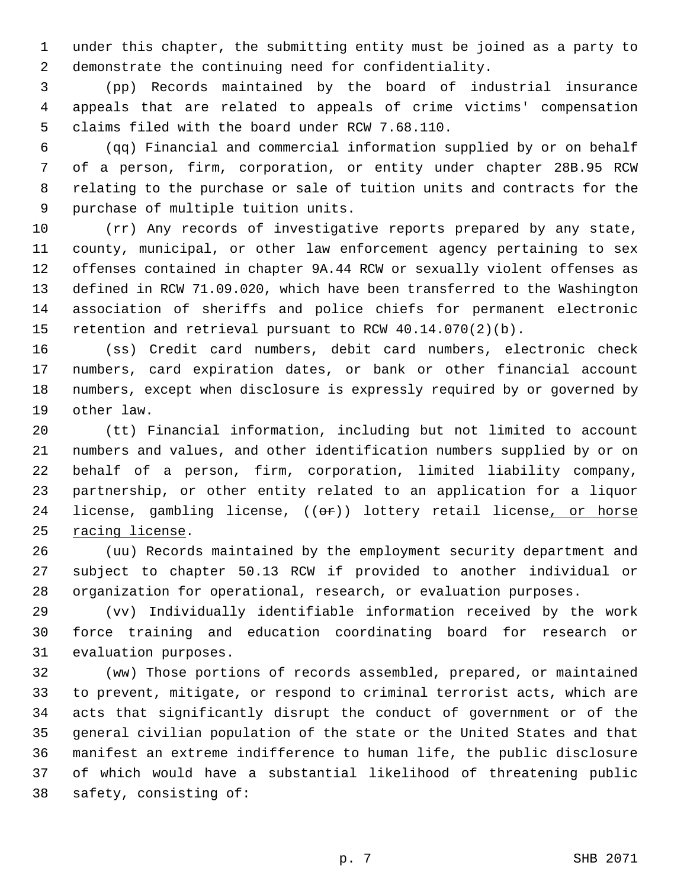under this chapter, the submitting entity must be joined as a party to demonstrate the continuing need for confidentiality.

 (pp) Records maintained by the board of industrial insurance appeals that are related to appeals of crime victims' compensation claims filed with the board under RCW 7.68.110.

 (qq) Financial and commercial information supplied by or on behalf of a person, firm, corporation, or entity under chapter 28B.95 RCW relating to the purchase or sale of tuition units and contracts for the purchase of multiple tuition units.

 (rr) Any records of investigative reports prepared by any state, county, municipal, or other law enforcement agency pertaining to sex offenses contained in chapter 9A.44 RCW or sexually violent offenses as defined in RCW 71.09.020, which have been transferred to the Washington association of sheriffs and police chiefs for permanent electronic retention and retrieval pursuant to RCW 40.14.070(2)(b).

 (ss) Credit card numbers, debit card numbers, electronic check numbers, card expiration dates, or bank or other financial account numbers, except when disclosure is expressly required by or governed by other law.

 (tt) Financial information, including but not limited to account numbers and values, and other identification numbers supplied by or on behalf of a person, firm, corporation, limited liability company, partnership, or other entity related to an application for a liquor 24 license, gambling license, ((or)) lottery retail license, or horse racing license.

 (uu) Records maintained by the employment security department and subject to chapter 50.13 RCW if provided to another individual or organization for operational, research, or evaluation purposes.

 (vv) Individually identifiable information received by the work force training and education coordinating board for research or evaluation purposes.

 (ww) Those portions of records assembled, prepared, or maintained to prevent, mitigate, or respond to criminal terrorist acts, which are acts that significantly disrupt the conduct of government or of the general civilian population of the state or the United States and that manifest an extreme indifference to human life, the public disclosure of which would have a substantial likelihood of threatening public safety, consisting of: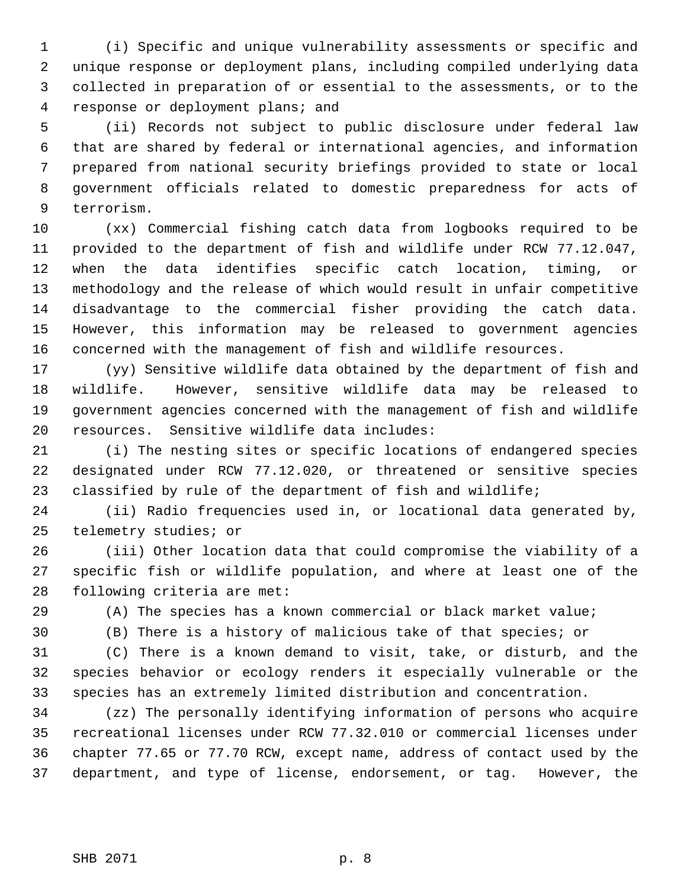(i) Specific and unique vulnerability assessments or specific and unique response or deployment plans, including compiled underlying data collected in preparation of or essential to the assessments, or to the response or deployment plans; and

 (ii) Records not subject to public disclosure under federal law that are shared by federal or international agencies, and information prepared from national security briefings provided to state or local government officials related to domestic preparedness for acts of terrorism.

 (xx) Commercial fishing catch data from logbooks required to be provided to the department of fish and wildlife under RCW 77.12.047, when the data identifies specific catch location, timing, or methodology and the release of which would result in unfair competitive disadvantage to the commercial fisher providing the catch data. However, this information may be released to government agencies concerned with the management of fish and wildlife resources.

 (yy) Sensitive wildlife data obtained by the department of fish and wildlife. However, sensitive wildlife data may be released to government agencies concerned with the management of fish and wildlife resources. Sensitive wildlife data includes:

 (i) The nesting sites or specific locations of endangered species designated under RCW 77.12.020, or threatened or sensitive species classified by rule of the department of fish and wildlife;

 (ii) Radio frequencies used in, or locational data generated by, telemetry studies; or

 (iii) Other location data that could compromise the viability of a specific fish or wildlife population, and where at least one of the following criteria are met:

(A) The species has a known commercial or black market value;

(B) There is a history of malicious take of that species; or

 (C) There is a known demand to visit, take, or disturb, and the species behavior or ecology renders it especially vulnerable or the species has an extremely limited distribution and concentration.

 (zz) The personally identifying information of persons who acquire recreational licenses under RCW 77.32.010 or commercial licenses under chapter 77.65 or 77.70 RCW, except name, address of contact used by the department, and type of license, endorsement, or tag. However, the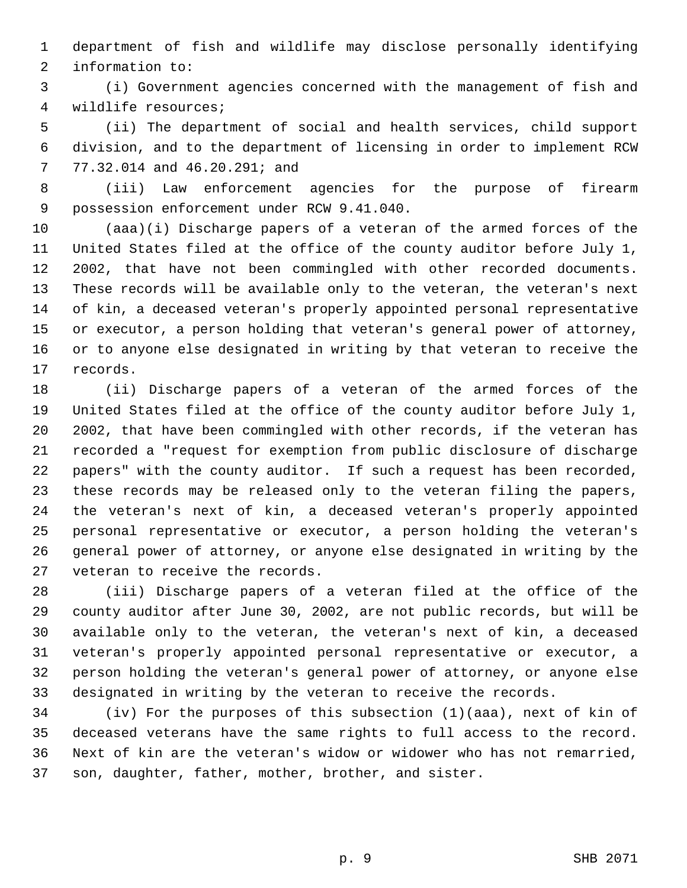department of fish and wildlife may disclose personally identifying information to:

 (i) Government agencies concerned with the management of fish and wildlife resources;

 (ii) The department of social and health services, child support division, and to the department of licensing in order to implement RCW 77.32.014 and 46.20.291; and

 (iii) Law enforcement agencies for the purpose of firearm possession enforcement under RCW 9.41.040.

 (aaa)(i) Discharge papers of a veteran of the armed forces of the United States filed at the office of the county auditor before July 1, 2002, that have not been commingled with other recorded documents. These records will be available only to the veteran, the veteran's next of kin, a deceased veteran's properly appointed personal representative or executor, a person holding that veteran's general power of attorney, or to anyone else designated in writing by that veteran to receive the records.

 (ii) Discharge papers of a veteran of the armed forces of the United States filed at the office of the county auditor before July 1, 2002, that have been commingled with other records, if the veteran has recorded a "request for exemption from public disclosure of discharge papers" with the county auditor. If such a request has been recorded, these records may be released only to the veteran filing the papers, the veteran's next of kin, a deceased veteran's properly appointed personal representative or executor, a person holding the veteran's general power of attorney, or anyone else designated in writing by the veteran to receive the records.

 (iii) Discharge papers of a veteran filed at the office of the county auditor after June 30, 2002, are not public records, but will be available only to the veteran, the veteran's next of kin, a deceased veteran's properly appointed personal representative or executor, a person holding the veteran's general power of attorney, or anyone else designated in writing by the veteran to receive the records.

 (iv) For the purposes of this subsection (1)(aaa), next of kin of deceased veterans have the same rights to full access to the record. Next of kin are the veteran's widow or widower who has not remarried, son, daughter, father, mother, brother, and sister.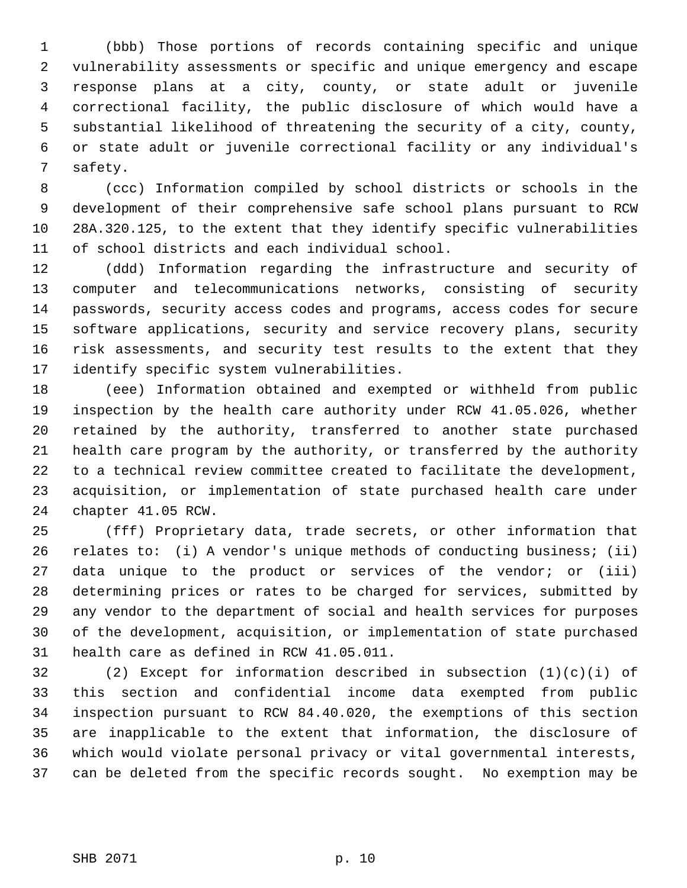(bbb) Those portions of records containing specific and unique vulnerability assessments or specific and unique emergency and escape response plans at a city, county, or state adult or juvenile correctional facility, the public disclosure of which would have a substantial likelihood of threatening the security of a city, county, or state adult or juvenile correctional facility or any individual's safety.

 (ccc) Information compiled by school districts or schools in the development of their comprehensive safe school plans pursuant to RCW 28A.320.125, to the extent that they identify specific vulnerabilities of school districts and each individual school.

 (ddd) Information regarding the infrastructure and security of computer and telecommunications networks, consisting of security passwords, security access codes and programs, access codes for secure software applications, security and service recovery plans, security risk assessments, and security test results to the extent that they identify specific system vulnerabilities.

 (eee) Information obtained and exempted or withheld from public inspection by the health care authority under RCW 41.05.026, whether retained by the authority, transferred to another state purchased health care program by the authority, or transferred by the authority to a technical review committee created to facilitate the development, acquisition, or implementation of state purchased health care under chapter 41.05 RCW.

 (fff) Proprietary data, trade secrets, or other information that relates to: (i) A vendor's unique methods of conducting business; (ii) data unique to the product or services of the vendor; or (iii) determining prices or rates to be charged for services, submitted by any vendor to the department of social and health services for purposes of the development, acquisition, or implementation of state purchased health care as defined in RCW 41.05.011.

 (2) Except for information described in subsection (1)(c)(i) of this section and confidential income data exempted from public inspection pursuant to RCW 84.40.020, the exemptions of this section are inapplicable to the extent that information, the disclosure of which would violate personal privacy or vital governmental interests, can be deleted from the specific records sought. No exemption may be